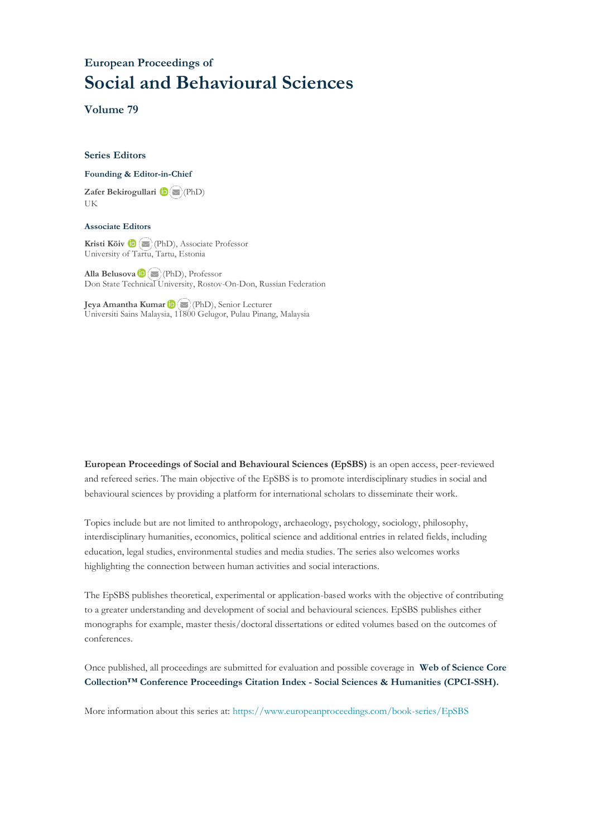## **European Proceedings of Social and Behavioural Sciences**

**Volume 79**

## **Series Editors**

## **Founding & Editor-in-Chief**

**Zafer Bekirogullari**(PhD) UK

## **Associate Editors**

**Kristi Köiv** (PhD), Associate Professor University of Tartu, Tartu, Estonia

**Alla Belusova**(PhD), Professor Don State Technical University, Rostov-On-Don, Russian Federation

**Jeya Amantha Kumar**(PhD), Senior Lecturer Universiti Sains Malaysia, [1180](mailto:amantha@usm.my)0 Gelugor, Pulau Pinang, Malaysia

**European Proceedings of Social and Behavioural Sciences (EpSBS)** is an open access, peer-reviewed and refereed series. The main objective of the EpSBS is to promote interdisciplinary studies in social and behavioural sciences by providing a platform for international scholars to disseminate their work.

Topics include but are not limited to anthropology, archaeology, psychology, sociology, philosophy, interdisciplinary humanities, economics, political science and additional entries in related fields, including education, legal studies, environmental studies and media studies. The series also welcomes works highlighting the connection between human activities and social interactions.

The EpSBS publishes theoretical, experimental or application-based works with the objective of contributing to a greater understanding and development of social and behavioural sciences. EpSBS publishes either monographs for example, master thesis/doctoral dissertations or edited volumes based on the outcomes of conferences.

Once published, all proceedings are submitted for evaluation and possible coverage in **Web of [Science](https://clarivate.com/webofsciencegroup/solutions/webofscience-cpci/) Core Collection™ Conference Proceedings Citation Index - Social Sciences & Humanities [\(CPCI-SSH\).](https://clarivate.com/webofsciencegroup/solutions/webofscience-cpci/)**

More information about this series at[: https://www.europeanproceedings.com/book-series/EpSBS](https://www.europeanproceedings.com/book-series/EpSBS)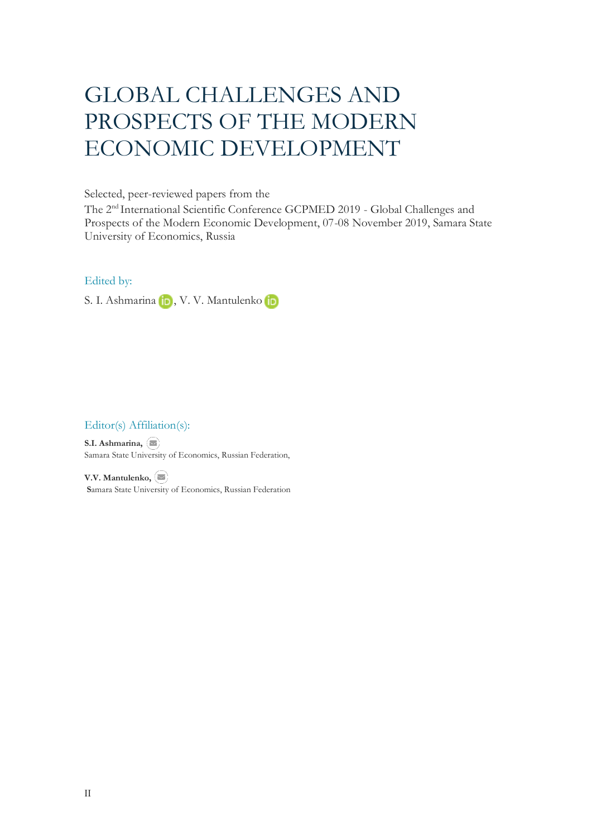# GLOBAL CHALLENGES AND PROSPECTS OF THE MODERN ECONOMIC DEVELOPMENT

Selected, peer-reviewed papers from the

The 2nd International Scientific Conference GCPMED 2019 - Global Challenges and Prospects of the Modern Economic Development, 07-08 November 2019, Samara State University of Economics, Russia

## Edited by:

S.I. Ashmarina **in**, V. V. Mantulenko **in** 

## Editor(s) Affiliation(s):

**S.I. Ashmarina,**  Samara State Uni[versit](mailto:asisamara@mail.ru)y of Economics, Russian Federation,

**V.V. Mantulenko, S**amara State University of Economics, Russian Federation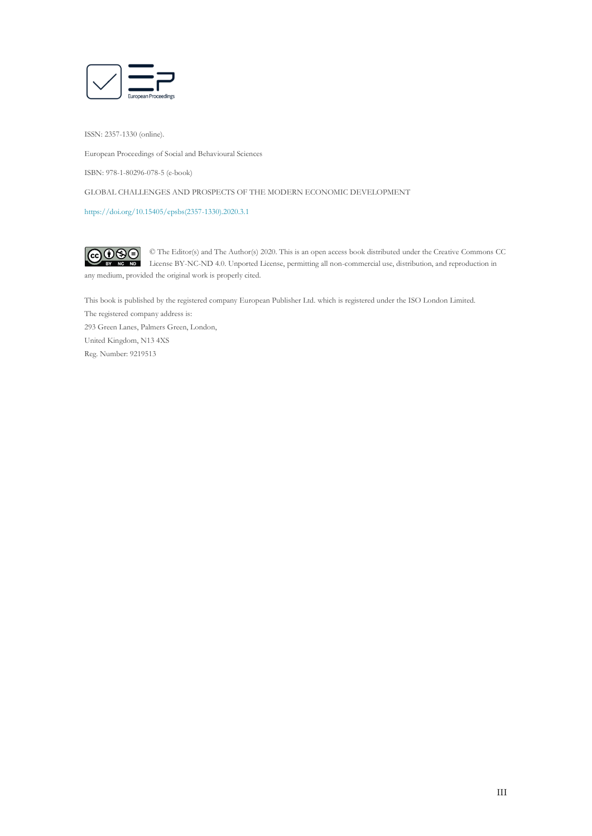

ISSN: 2357-1330 (online).

European Proceedings of Social and Behavioural Sciences

ISBN: 978-1-80296-078-5 (e-book)

GLOBAL CHALLENGES AND PROSPECTS OF THE MODERN ECONOMIC DEVELOPMENT

[https://doi.org/10.15405/epsbs\(2357-1330\).2020.3.1](https://doi.org/10.15405/epsbs(2357-1330).2018.4.2)

 $G \odot \odot$ © The Editor(s) and The Author(s) 2020. This is an open access book distributed under the Creative Commons CC License BY-NC-ND 4.0. Unported License, permitting all non-commercial use, distribution, and reproduction in  $\overline{ND}$ any medium, provided the original work is properly cited.

This book is published by the registered company European Publisher Ltd. which is registered under the ISO London Limited. The registered company address is: 293 Green Lanes, Palmers Green, London, United Kingdom, N13 4XS Reg. Number: 9219513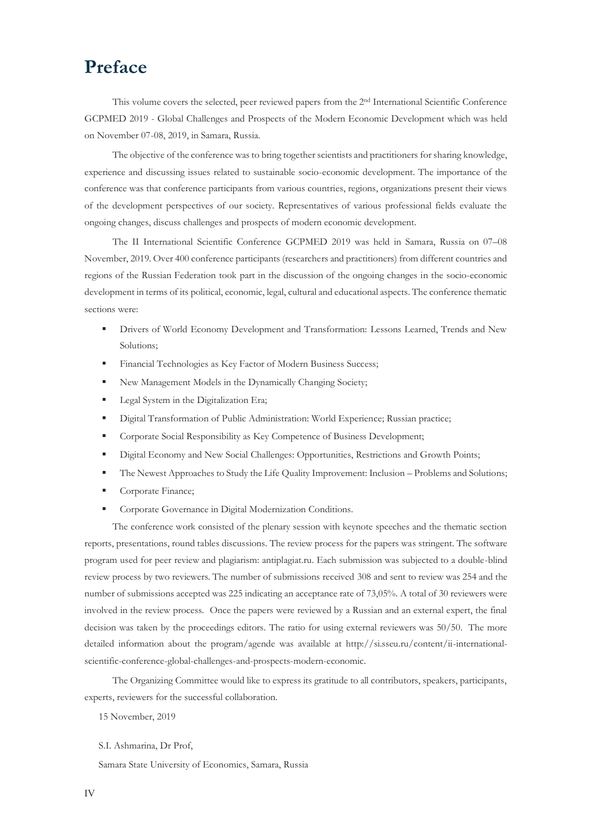# **Preface**

This volume covers the selected, peer reviewed papers from the 2nd International Scientific Conference GCPMED 2019 - Global Challenges and Prospects of the Modern Economic Development which was held on November 07-08, 2019, in Samara, Russia.

The objective of the conference was to bring together scientists and practitioners for sharing knowledge, experience and discussing issues related to sustainable socio-economic development. The importance of the conference was that conference participants from various countries, regions, organizations present their views of the development perspectives of our society. Representatives of various professional fields evaluate the ongoing changes, discuss challenges and prospects of modern economic development.

The II International Scientific Conference GCPMED 2019 was held in Samara, Russia on 07–08 November, 2019. Over 400 conference participants (researchers and practitioners) from different countries and regions of the Russian Federation took part in the discussion of the ongoing changes in the socio-economic development in terms of its political, economic, legal, cultural and educational aspects. The conference thematic sections were:

- Drivers of World Economy Development and Transformation: Lessons Learned, Trends and New Solutions;
- **Exercise 1** Financial Technologies as Key Factor of Modern Business Success;
- New Management Models in the Dynamically Changing Society;
- **Legal System in the Digitalization Era;**
- Digital Transformation of Public Administration: World Experience; Russian practice;
- **Corporate Social Responsibility as Key Competence of Business Development;**
- **•** Digital Economy and New Social Challenges: Opportunities, Restrictions and Growth Points;
- **The Newest Approaches to Study the Life Quality Improvement: Inclusion Problems and Solutions;**
- Corporate Finance;
- Corporate Governance in Digital Modernization Conditions.

The conference work consisted of the plenary session with keynote speeches and the thematic section reports, presentations, round tables discussions. The review process for the papers was stringent. The software program used for peer review and plagiarism: antiplagiat.ru. Each submission was subjected to a double-blind review process by two reviewers. The number of submissions received 308 and sent to review was 254 and the number of submissions accepted was 225 indicating an acceptance rate of 73,05%. A total of 30 reviewers were involved in the review process. Once the papers were reviewed by a Russian and an external expert, the final decision was taken by the proceedings editors. The ratio for using external reviewers was 50/50. The more detailed information about the program/agende was available at http://si.sseu.ru/content/ii-internationalscientific-conference-global-challenges-and-prospects-modern-economic.

The Organizing Committee would like to express its gratitude to all contributors, speakers, participants, experts, reviewers for the successful collaboration.

15 November, 2019

S.I. Ashmarina, Dr Prof,

Samara State University of Economics, Samara, Russia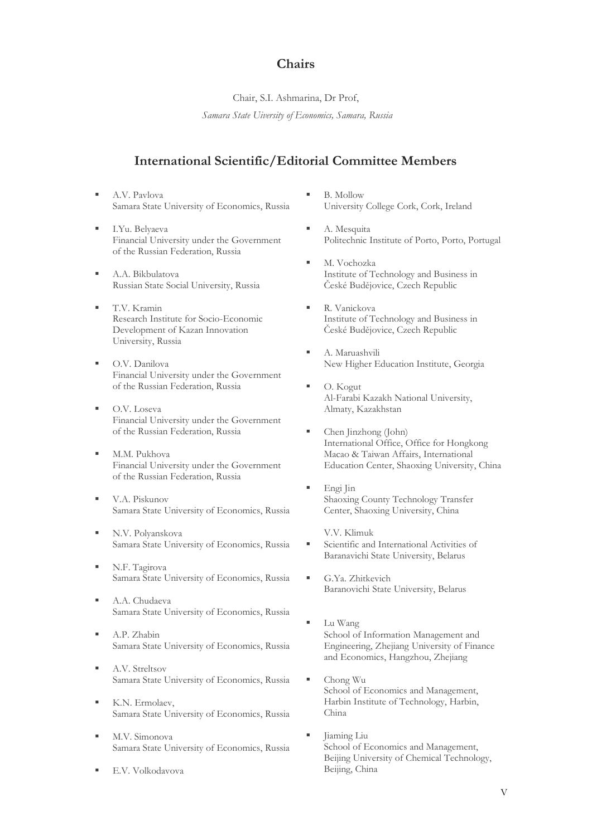## **Chairs**

Chair, S.I. Ashmarina, Dr Prof,

*Samara State Uiversity of Economics, Samara, Russia*

## **International Scientific/Editorial Committee Members**

- A.V. Pavlova Samara State University of Economics, Russia
- I.Yu. Belyaeva Financial University under the Government of the Russian Federation, Russia
- A.A. Bikbulatova Russian State Social University, Russia
- T.V. Kramin Research Institute for Socio-Economic Development of Kazan Innovation University, Russia
- O.V. Danilova Financial University under the Government of the Russian Federation, Russia
- O.V. Loseva Financial University under the Government of the Russian Federation, Russia
- M.M. Pukhova Financial University under the Government of the Russian Federation, Russia
- V.A. Piskunov Samara State University of Economics, Russia
- N.V. Polyanskova Samara State University of Economics, Russia
- N.F. Tagirova Samara State University of Economics, Russia
- A.A. Chudaeva Samara State University of Economics, Russia
- A.P. Zhabin Samara State University of Economics, Russia
- A.V. Streltsov Samara State University of Economics, Russia
- K.N. Ermolaev, Samara State University of Economics, Russia
- M.V. Simonova Samara State University of Economics, Russia
- E.V. Volkodavova
- **B.** Mollow University College Cork, Cork, Ireland
- A. Mesquita Politechnic Institute of Porto, Porto, Portugal
- M. Vochozka Institute of Technology and Business in České Budějovice, Czech Republic
- R. Vanickova Institute of Technology and Business in České Budějovice, Czech Republic
- A. Maruashvili New Higher Education Institute, Georgia
- O. Kogut Al-Farabi Kazakh National University, Almaty, Kazakhstan
- Chen Jinzhong (John) International Office, Office for Hongkong Macao & Taiwan Affairs, International Education Center, Shaoxing University, China
- Engi Jin Shaoxing County Technology Transfer Center, Shaoxing University, China
- V.V. Klimuk Scientific and International Activities of Baranavichi State University, Belarus
- G.Ya. Zhitkevich Baranovichi State University, Belarus
- Lu Wang School of Information Management and Engineering, Zhejiang University of Finance and Economics, Hangzhou, Zhejiang
- Chong Wu School of Economics and Management, Harbin Institute of Technology, Harbin, China
- Jiaming Liu School of Economics and Management, Beijing University of Chemical Technology, Beijing, China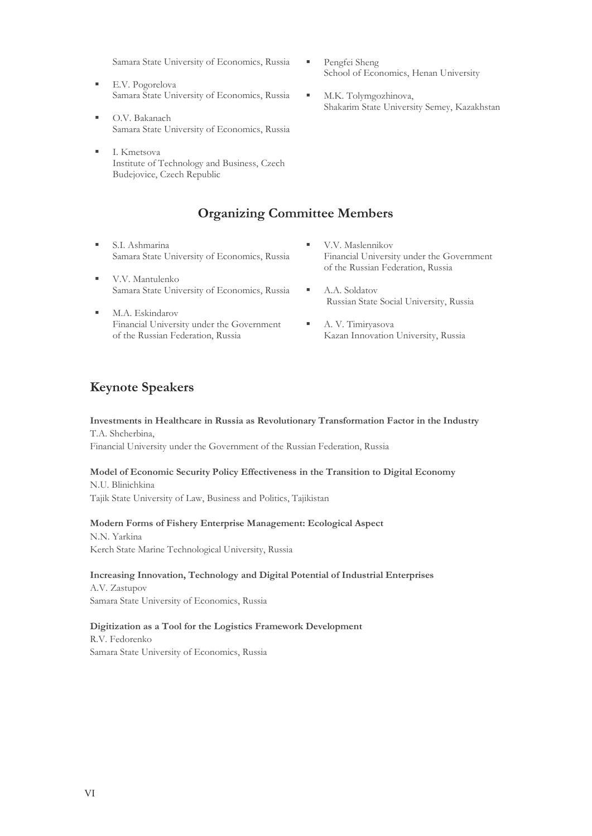Samara State University of Economics, Russia

- E.V. Pogorelova Samara State University of Economics, Russia
- O.V. Bakanach Samara State University of Economics, Russia
- I. Kmetsova Institute of Technology and Business, Czech Budejovice, Czech Republic

## **Organizing Committee Members**

- S.I. Ashmarina Samara State University of Economics, Russia
- V.V. Mantulenko Samara State University of Economics, Russia
- M.A. Eskindarov Financial University under the Government of the Russian Federation, Russia
- Pengfei Sheng School of Economics, Henan University
- M.K. Tolymgozhinova, Shakarim State University Semey, Kazakhstan

- V.V. Maslennikov Financial University under the Government of the Russian Federation, Russia
- A.A. Soldatov Russian State Social University, Russia
- A. V. Timiryasova Kazan Innovation University, Russia

## **Keynote Speakers**

**Investments in Healthcare in Russia as Revolutionary Transformation Factor in the Industry** Т.А. Shcherbina,

Financial University under the Government of the Russian Federation, Russia

## **Model of Economic Security Policy Effectiveness in the Transition to Digital Economy**

N.U. Blinichkina Tajik State University of Law, Business and Politics, Tajikistan

## **Modern Forms of Fishery Enterprise Management: Ecological Aspect**

N.N. Yarkina Kerch State Marine Technological University, Russia

## **Increasing Innovation, Technology and Digital Potential of Industrial Enterprises**

A.V. Zastupov Samara State University of Economics, Russia

## **Digitization as a Tool for the Logistics Framework Development**

R.V. Fedorenko Samara State University of Economics, Russia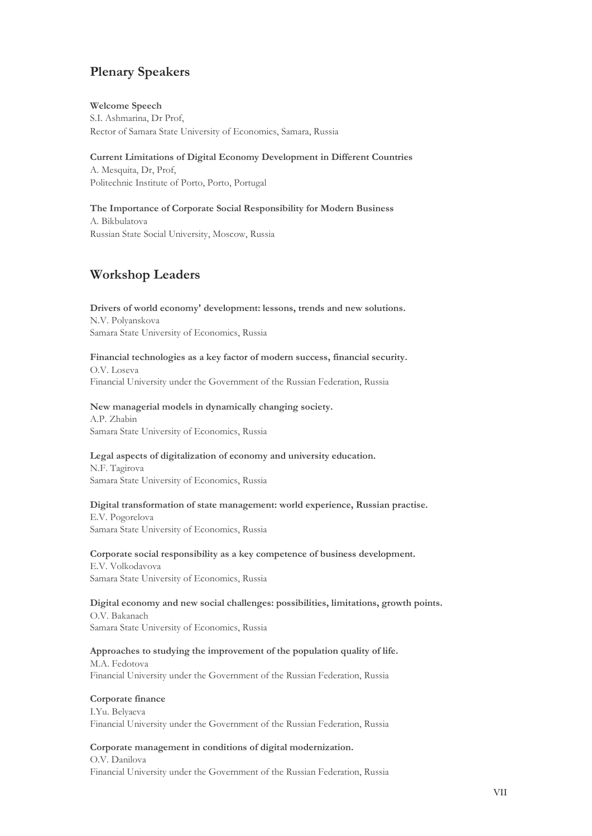## **Plenary Speakers**

## **Welcome Speech**

S.I. Ashmarina, Dr Prof, Rector of Samara State University of Economics, Samara, Russia

## **Current Limitations of Digital Economy Development in Different Countries**

A. Mesquita, Dr, Prof, Politechnic Institute of Porto, Porto, Portugal

## **The Importance of Corporate Social Responsibility for Modern Business** A. Bikbulatova Russian State Social University, Moscow, Russia

## **Workshop Leaders**

## **Drivers of world economy' development: lessons, trends and new solutions.** N.V. Polyanskova

Samara State University of Economics, Russia

## **Financial technologies as a key factor of modern success, financial security.** O.V. Loseva

Financial University under the Government of the Russian Federation, Russia

## **New managerial models in dynamically changing society.**

A.P. Zhabin Samara State University of Economics, Russia

## **Legal aspects of digitalization of economy and university education.**

N.F. Tagirova Samara State University of Economics, Russia

## **Digital transformation of state management: world experience, Russian practise.**

E.V. Pogorelova Samara State University of Economics, Russia

## **Corporate social responsibility as a key competence of business development.**

E.V. Volkodavova Samara State University of Economics, Russia

## **Digital economy and new social challenges: possibilities, limitations, growth points.** O.V. Bakanach Samara State University of Economics, Russia

## **Approaches to studying the improvement of the population quality of life.**

M.A. Fedotova Financial University under the Government of the Russian Federation, Russia

## **Corporate finance**

I.Yu. Belyaeva Financial University under the Government of the Russian Federation, Russia

## **Corporate management in conditions of digital modernization.**

O.V. Danilova Financial University under the Government of the Russian Federation, Russia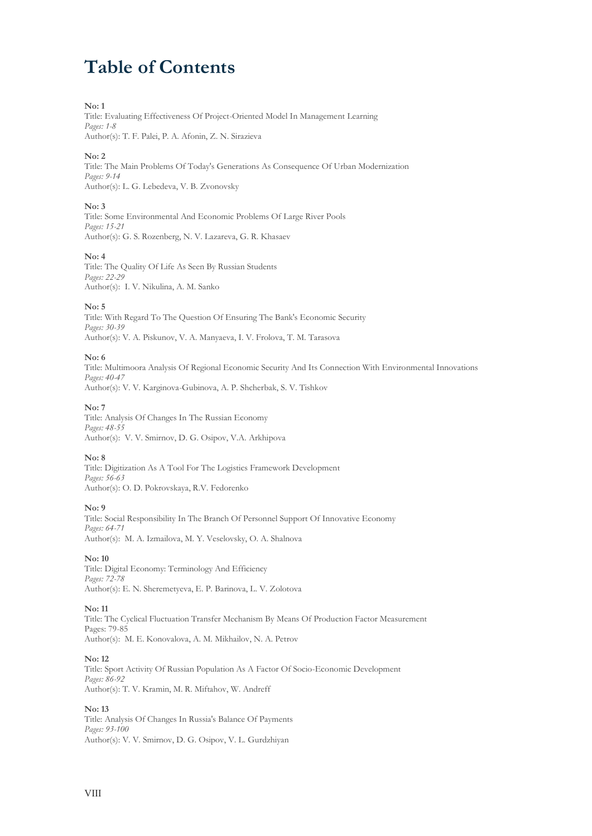# **Table of Contents**

## **No: 1**

Title: Evaluating Effectiveness Of Project-Oriented Model In Management Learning *Pages: 1-8* Author(s): T. F. Palei, P. A. Afonin, Z. N. Sirazieva

## **No: 2**

Title: The Main Problems Of Today's Generations As Consequence Of Urban Modernization *Pages: 9-14* Author(s): L. G. Lebedeva, V. B. Zvonovsky

## **No: 3**

Title: Some Environmental And Economic Problems Of Large River Pools *Pages: 15-21* Author(s): G. S. Rozenberg, N. V. Lazareva, G. R. Khasaev

## **No: 4**

Title: The Quality Of Life As Seen By Russian Students *Pages: 22-29* Author(s): I. V. Nikulina, A. M. Sanko

## **No: 5**

Title: With Regard To The Question Of Ensuring The Bank's Economic Security *Pages: 30-39* Author(s): V. A. Piskunov, V. A. Manyaeva, I. V. Frolova, T. M. Tarasova

## **No: 6**

Title: Multimoora Analysis Of Regional Economic Security And Its Connection With Environmental Innovations *Pages: 40-47* Author(s): V. V. Karginova-Gubinova, A. P. Shcherbak, S. V. Tishkov

## **No: 7**

Title: Analysis Of Changes In The Russian Economy *Pages: 48-55* Author(s): V. V. Smirnov, D. G. Osipov, V.A. Arkhipova

## **No: 8**

Title: Digitization As A Tool For The Logistics Framework Development *Pages: 56-63* Author(s): O. D. Pokrovskaya, R.V. Fedorenko

## **No: 9**

Title: Social Responsibility In The Branch Of Personnel Support Of Innovative Economy *Pages: 64-71* Author(s): M. A. Izmailova, M. Y. Veselovsky, O. A. Shalnova

## **No: 10**

Title: Digital Economy: Terminology And Efficiency *Pages: 72-78* Author(s): E. N. Sheremetyeva, E. P. Barinova, L. V. Zolotova

## **No: 11**

Title: The Cyclical Fluctuation Transfer Mechanism By Means Of Production Factor Measurement Pages: 79-85 Author(s): M. E. Konovalova, A. M. Мikhailov, N. A. Petrov

## **No: 12**

Title: Sport Activity Of Russian Population As A Factor Of Socio-Economic Development *Pages: 86-92* Author(s): T. V. Kramin, M. R. Miftahov, W. Andreff

## **No: 13**

Title: Analysis Of Changes In Russia's Balance Of Payments *Pages: 93-100* Author(s): V. V. Smirnov, D. G. Osipov, V. L. Gurdzhiyan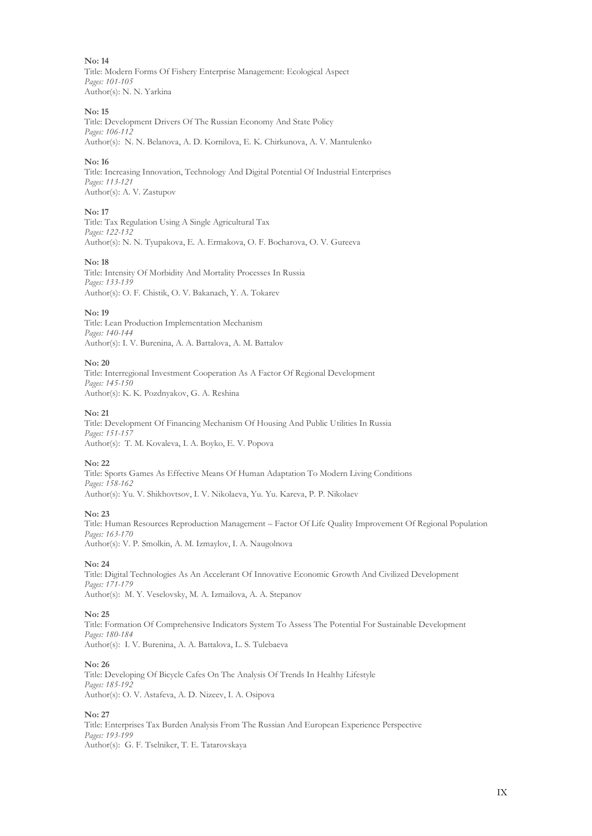**No: 14** Title: Modern Forms Of Fishery Enterprise Management: Ecological Aspect *Pages: 101-105* Author(s): N. N. Yarkina

## **No: 15**

Title: Development Drivers Of The Russian Economy And State Policy *Pages: 106-112* Author(s): N. N. Belanova, A. D. Kornilova, E. K. Chirkunova, A. V. Mantulenko

## **No: 16**

Title: Increasing Innovation, Technology And Digital Potential Of Industrial Enterprises *Pages: 113-121* Author(s): A. V. Zastupov

## **No: 17**

Title: Tax Regulation Using A Single Agricultural Tax *Pages: 122-132* Author(s): N. N. Tyupakova, E. A. Ermakova, O. F. Bocharova, O. V. Gureeva

#### **No: 18**

Title: Intensity Of Morbidity And Mortality Processes In Russia *Pages: 133-139* Author(s): O. F. Chistik, O. V. Bakanach, Y. A. Tokarev

## **No: 19**

Title: Lean Production Implementation Mechanism *Pages: 140-144* Author(s): I. V. Burenina, A. A. Battalova, A. M. Battalov

## **No: 20**

Title: Interregional Investment Cooperation As A Factor Of Regional Development *Pages: 145-150* Author(s): K. K. Pozdnyakov, G. A. Reshina

#### **No: 21**

Title: Development Of Financing Mechanism Of Housing And Public Utilities In Russia *Pages: 151-157* Author(s): T. M. Kovaleva, I. A. Boyko, E. V. Popova

## **No: 22**

Title: Sports Games As Effective Means Of Human Adaptation To Modern Living Conditions *Pages: 158-162* Author(s): Yu. V. Shikhovtsov, I. V. Nikolaeva, Yu. Yu. Kareva, P. P. Nikolaev

#### **No: 23**

Title: Human Resources Reproduction Management – Factor Of Life Quality Improvement Of Regional Population *Pages: 163-170* Author(s): V. P. Smolkin, A. M. Izmaylov, I. A. Naugolnova

## **No: 24**

Title: Digital Technologies As An Accelerant Of Innovative Economic Growth And Civilized Development *Pages: 171-179* Author(s): M. Y. Veselovsky, M. A. Izmailova, A. A. Stepanov

#### **No: 25**

Title: Formation Of Comprehensive Indicators System To Assess The Potential For Sustainable Development *Pages: 180-184* Author(s): I. V. Burenina, A. A. Battalova, L. S. Tulebaeva

#### **No: 26**

Title: Developing Of Bicycle Cafes On The Analysis Of Trends In Healthy Lifestyle *Pages: 185-192* Author(s): O. V. Astafeva, A. D. Nizeev, I. A. Osipova

## **No: 27**

Title: Enterprises Tax Burden Analysis From The Russian And European Experience Perspective *Pages: 193-199* Author(s): G. F. Tselniker, T. E. Tatarovskaya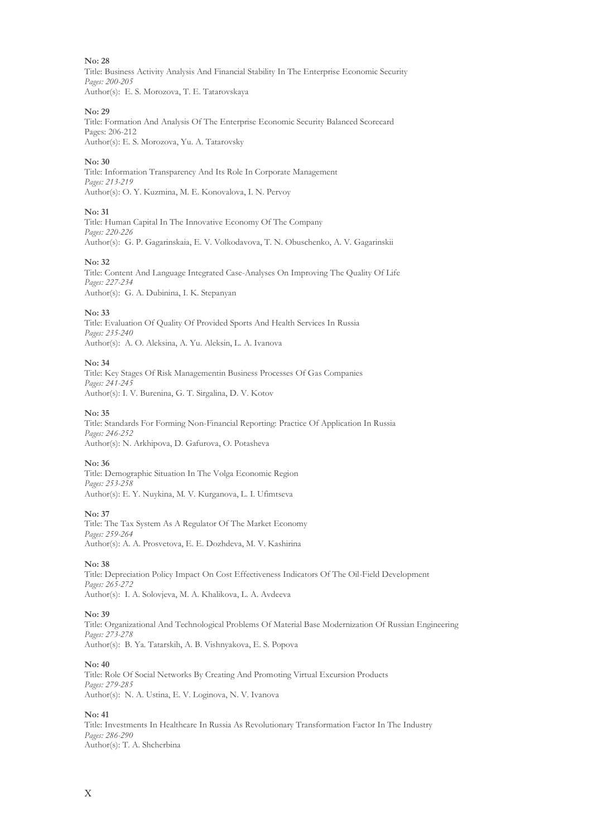Title: Business Activity Analysis And Financial Stability In The Enterprise Economic Security *Pages: 200-205* Author(s): E. S. Morozova, T. E. Tatarovskaya

#### **No: 29**

Title: Formation And Analysis Of The Enterprise Economic Security Balanced Scorecard Pages: 206-212 Author(s): E. S. Morozova, Yu. A. Tatarovsky

#### **No: 30**

Title: Information Transparency And Its Role In Corporate Management *Pages: 213-219* Author(s): O. Y. Kuzmina, M. E. Konovalova, I. N. Pervoy

#### **No: 31**

Title: Human Capital In The Innovative Economy Of The Company *Pages: 220-226* Author(s): G. P. Gagarinskaia, Е. V. Volkodavova, T. N. Obuschenko, A. V. Gagarinskii

#### **No: 32**

Title: Content And Language Integrated Case-Analyses On Improving The Quality Of Life *Pages: 227-234* Author(s): G. A. Dubinina, I. K. Stepanyan

#### **No: 33**

Title: Evaluation Of Quality Of Provided Sports And Health Services In Russia *Pages: 235-240* Author(s): A. О. Aleksina, A. Yu. Aleksin, L. А. Ivanova

## **No: 34**

Title: Key Stages Of Risk Managementin Business Processes Of Gas Companies *Pages: 241-245* Author(s): I. V. Burenina, G. T. Sirgalina, D. V. Kotov

#### **No: 35**

Title: Standards For Forming Non-Financial Reporting: Practice Of Application In Russia *Pages: 246-252* Author(s): N. Arkhipova, D. Gafurova, O. Potasheva

## **No: 36**

Title: Demographic Situation In The Volga Economic Region *Pages: 253-258* Author(s): E. Y. Nuykina, M. V. Kurganova, L. I. Ufimtseva

#### **No: 37**

Title: The Tax System As A Regulator Of The Market Economy *Pages: 259-264* Author(s): A. A. Prosvetova, E. E. Dozhdeva, M. V. Kashirina

## **No: 38**

Title: Depreciation Policy Impact On Cost Effectiveness Indicators Of The Oil-Field Development *Pages: 265-272* Author(s): I. A. Solovjeva, M. A. Khalikova, L. A. Avdeeva

#### **No: 39**

Title: Organizational And Technological Problems Of Material Base Modernization Of Russian Engineering *Pages: 273-278* Author(s): B. Ya. Tatarskih, A. B. Vishnyakova, E. S. Popova

#### **No: 40**

Title: Role Of Social Networks By Creating And Promoting Virtual Excursion Products *Pages: 279-285* Author(s): N. A. Ustina, E. V. Loginova, N. V. Ivanova

## **No: 41**

Title: Investments In Healthcare In Russia As Revolutionary Transformation Factor In The Industry *Pages: 286-290* Author(s): T. A. Shcherbina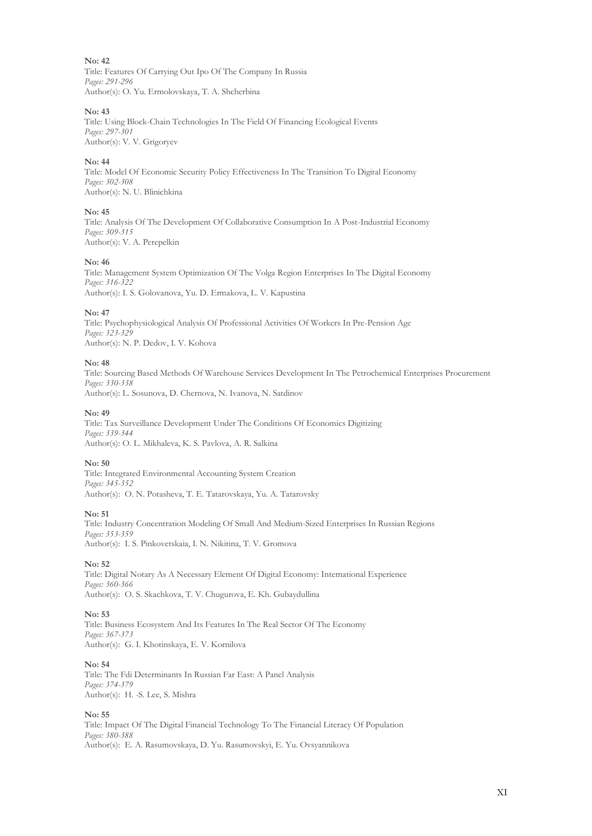Title: Features Of Carrying Out Ipo Of The Company In Russia *Pages: 291-296* Author(s): O. Yu. Ermolovskaya, T. A. Shcherbina

## **No: 43**

Title: Using Block-Chain Technologies In The Field Of Financing Ecological Events *Pages: 297-301* Author(s): V. V. Grigoryev

## **No: 44**

Title: Model Of Economic Security Policy Effectiveness In The Transition To Digital Economy *Pages: 302-308* Author(s): N. U. Blinichkina

## **No: 45**

Title: Analysis Of The Development Of Collaborative Consumption In A Post-Industrial Economy *Pages: 309-315* Author(s): V. A. Perepelkin

## **No: 46**

Title: Management System Optimization Of The Volga Region Enterprises In The Digital Economy *Pages: 316-322* Author(s): I. S. Golovanova, Yu. D. Ermakova, L. V. Kapustina

## **No: 47**

Title: Psychophysiological Analysis Of Professional Activities Of Workers In Pre-Pension Age *Pages: 323-329* Author(s): N. P. Dedov, I. V. Kohova

## **No: 48**

Title: Sourcing Based Methods Of Warehouse Services Development In The Petrochemical Enterprises Procurement *Pages: 330-338* Author(s): L. Sosunova, D. Chernova, N. Ivanova, N. Satdinov

**No: 49**

Title: Tax Surveillance Development Under The Conditions Of Economics Digitizing *Pages: 339-344* Author(s): O. L. Mikhaleva, K. S. Pavlova, А. R. Salkina

## **No: 50**

Title: Integrated Environmental Accounting System Creation *Pages: 345-352* Author(s): O. N. Potasheva, T. E. Tatarovskaya, Yu. A. Tatarovsky

## **No: 51**

Title: Industry Concentration Modeling Of Small And Medium-Sized Enterprises In Russian Regions *Pages: 353-359* Author(s): I. S. Pinkovetskaia, I. N. Nikitina, T. V. Gromova

## **No: 52**

Title: Digital Notary As A Necessary Element Of Digital Economy: International Experience *Pages: 360-366* Author(s): О. S. Skachkova, T. V. Chugurova, E. Kh. Gubaydullina

## **No: 53**

Title: Business Ecosystem And Its Features In The Real Sector Of The Economy *Pages: 367-373* Author(s): G. I. Khotinskaya, E. V. Kornilova

## **No: 54**

Title: The Fdi Determinants In Russian Far East: A Panel Analysis *Pages: 374-379* Author(s): H. -S. Lee, S. Mishra

## **No: 55**

Title: Impact Of The Digital Financial Technology To The Financial Literacy Of Population *Pages: 380-388* Author(s): E. A. Rasumovskaya, D. Yu. Rasumovskyi, E. Yu. Ovsyannikova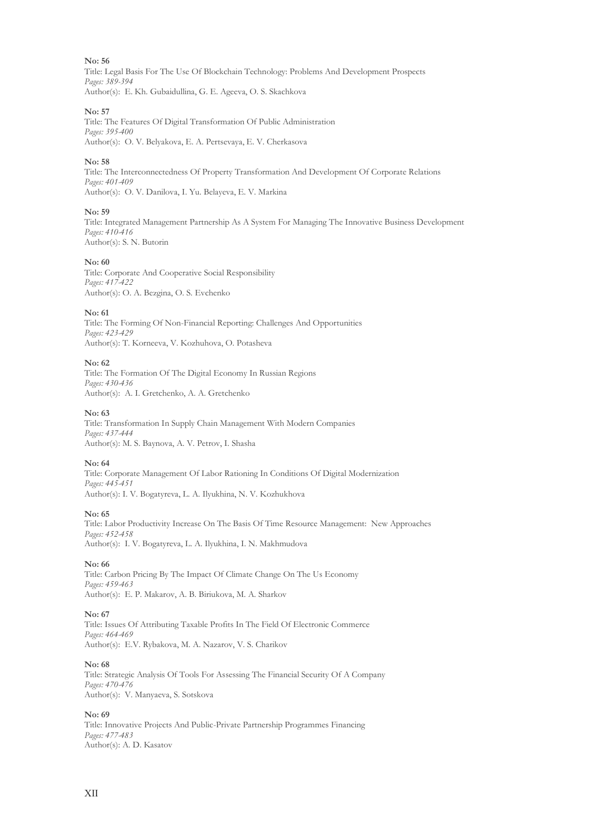Title: Legal Basis For The Use Of Blockchain Technology: Problems And Development Prospects *Pages: 389-394* Author(s): E. Kh. Gubaidullina, G. E. Ageeva, O. S. Skachkova

## **No: 57**

Title: The Features Of Digital Transformation Of Public Administration *Pages: 395-400* Author(s): O. V. Belyakova, E. A. Pertsevaya, E. V. Cherkasova

## **No: 58**

Title: The Interconnectedness Of Property Transformation And Development Of Corporate Relations *Pages: 401-409* Author(s): O. V. Danilova, I. Yu. Belayeva, E. V. Markina

## **No: 59**

Title: Integrated Management Partnership As A System For Managing The Innovative Business Development *Pages: 410-416* Author(s): S. N. Butorin

## **No: 60**

Title: Corporate And Cooperative Social Responsibility *Pages: 417-422* Author(s): О. А. Bezgina, О. S. Evchenko

## **No: 61**

Title: The Forming Of Non-Financial Reporting: Challenges And Opportunities *Pages: 423-429* Author(s): T. Korneeva, V. Kozhuhova, O. Potasheva

## **No: 62**

Title: The Formation Of The Digital Economy In Russian Regions *Pages: 430-436* Author(s): A. I. Gretchenko, A. A. Gretchenko

## **No: 63**

Title: Transformation In Supply Chain Management With Modern Companies *Pages: 437-444* Author(s): M. S. Baynova, A. V. Petrov, I. Shasha

## **No: 64**

Title: Corporate Management Of Labor Rationing In Conditions Of Digital Modernization *Pages: 445-451* Author(s): I. V. Bogatyreva, L. A. Ilyukhina, N. V. Kozhukhova

## **No: 65**

Title: Labor Productivity Increase On The Basis Of Time Resource Management: New Approaches *Pages: 452-458* Author(s): I. V. Bogatyreva, L. A. Ilyukhina, I. N. Makhmudova

## **No: 66**

Title: Carbon Pricing By The Impact Of Climate Change On The Us Economy *Pages: 459-463* Author(s): E. P. Makarov, A. B. Biriukova, M. A. Sharkov

## **No: 67**

Title: Issues Of Attributing Taxable Profits In The Field Of Electronic Commerce *Pages: 464-469* Author(s): E.V. Rybakova, M. A. Nazarov, V. S. Charikov

## **No: 68**

Title: Strategic Analysis Of Tools For Assessing The Financial Security Of A Company *Pages: 470-476* Author(s): V. Manyaeva, S. Sotskova

## **No: 69**

Title: Innovative Projects And Public-Private Partnership Programmes Financing *Pages: 477-483* Author(s): A. D. Kasatov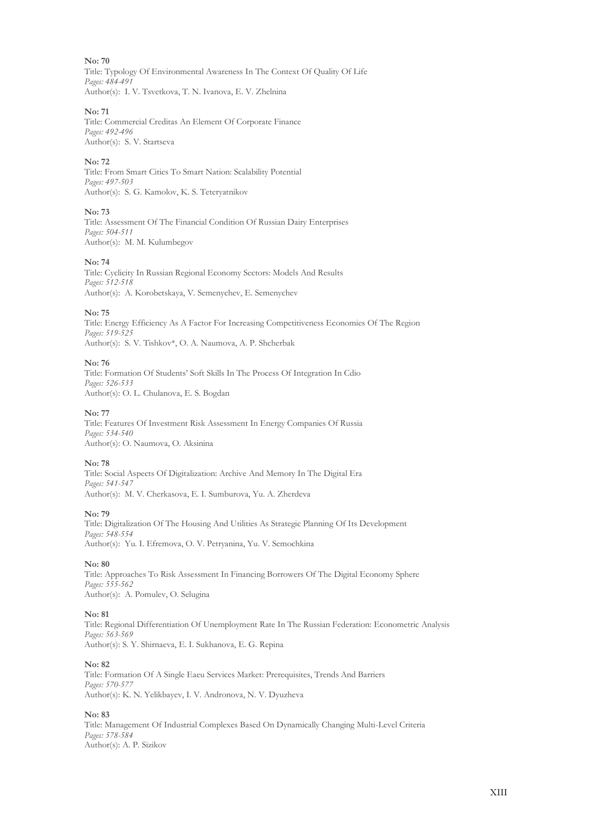Title: Typology Of Environmental Awareness In The Context Of Quality Of Life *Pages: 484-491* Author(s): I. V. Tsvetkova, T. N. Ivanova, Е. V. Zhelnina

## **No: 71**

Title: Commercial Creditas An Element Of Corporate Finance *Pages: 492-496* Author(s): S. V. Startseva

## **No: 72**

Title: From Smart Cities To Smart Nation: Scalability Potential *Pages: 497-503* Author(s): S. G. Kamolov, K. S. Teteryatnikov

## **No: 73**

Title: Assessment Of The Financial Condition Of Russian Dairy Enterprises *Pages: 504-511* Author(s): M. M. Kulumbegov

## **No: 74**

Title: Cyclicity In Russian Regional Economy Sectors: Models And Results *Pages: 512-518* Author(s): A. Korobetskaya, V. Semenychev, E. Semenychev

## **No: 75**

Title: Energy Efficiency As A Factor For Increasing Competitiveness Economies Of The Region *Pages: 519-525* Author(s): S. V. Tishkov\*, O. A. Naumova, A. P. Shcherbak

## **No: 76**

Title: Formation Of Students' Soft Skills In The Process Of Integration In Cdio *Pages: 526-533* Author(s): O. L. Сhulanova, E. S. Bogdan

## **No: 77**

Title: Features Of Investment Risk Assessment In Energy Companies Of Russia *Pages: 534-540* Author(s): O. Naumova, O. Aksinina

## **No: 78**

Title: Social Aspects Of Digitalization: Archive And Memory In The Digital Era *Pages: 541-547* Author(s): M. V. Cherkasova, E. I. Sumburova, Yu. A. Zherdeva

## **No: 79**

Title: Digitalization Of The Housing And Utilities As Strategic Planning Of Its Development *Pages: 548-554* Author(s): Yu. I. Efremova, O. V. Petryanina, Yu. V. Semochkina

## **No: 80**

Title: Approaches To Risk Assessment In Financing Borrowers Of The Digital Economy Sphere *Pages: 555-562* Author(s): A. Pomulev, O. Selugina

## **No: 81**

Title: Regional Differentiation Of Unemployment Rate In The Russian Federation: Econometric Analysis *Pages: 563-569* Author(s): S. Y. Shirnaeva, E. I. Sukhanova, E. G. Repina

## **No: 82**

Title: Formation Of A Single Eaeu Services Market: Prerequisites, Trends And Barriers Pages: 570-57 Author(s): K. N. Yelikbayev, I. V. Andronova, N. V. Dyuzheva

## **No: 83**

Title: Management Of Industrial Complexes Based On Dynamically Changing Multi-Level Criteria *Pages: 578-584* Author(s): A. P. Sizikov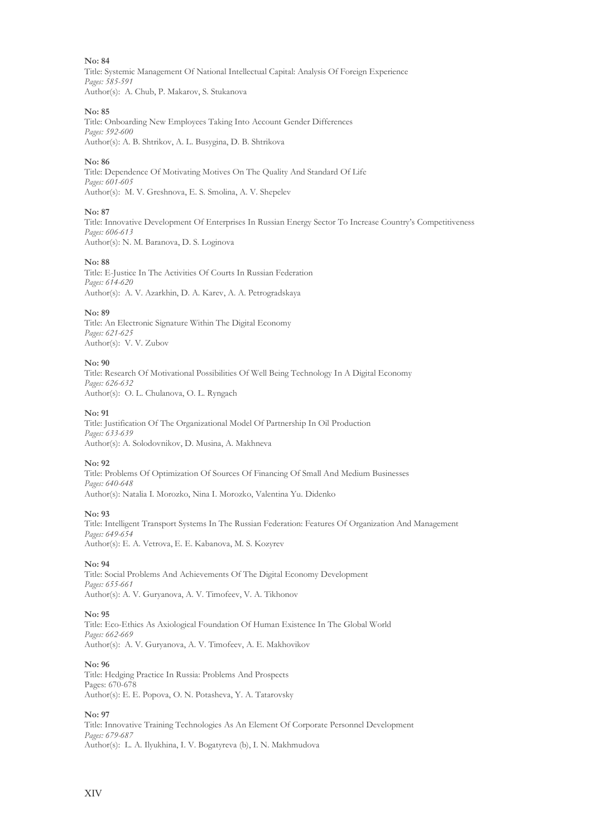Title: Systemic Management Of National Intellectual Capital: Analysis Of Foreign Experience *Pages: 585-591* Author(s): A. Chub, P. Makarov, S. Stukanova

## **No: 85**

Title: Onboarding New Employees Taking Into Account Gender Differences *Pages: 592-600* Author(s): A. B. Shtrikov, A. L. Busygina, D. B. Shtrikova

## **No: 86**

Title: Dependence Of Motivating Motives On The Quality And Standard Of Life *Pages: 601-605* Author(s): M. V. Greshnova, E. S. Smolina, A. V. Shepelev

## **No: 87**

Title: Innovative Development Of Enterprises In Russian Energy Sector To Increase Country's Competitiveness *Pages: 606-613* Author(s): N. M. Baranova, D. S. Loginova

## **No: 88**

Title: E-Justice In The Activities Of Courts In Russian Federation *Pages: 614-620* Author(s): A. V. Azarkhin, D. A. Karev, A. A. Petrogradskaya

## **No: 89**

Title: An Electronic Signature Within The Digital Economy *Pages: 621-625* Author(s): V. V. Zubov

## **No: 90**

Title: Research Of Motivational Possibilities Of Well Being Technology In A Digital Economy *Pages: 626-632* Author(s): O. L. Сhulanova, O. L. Ryngach

## **No: 91**

Title: Justification Of The Organizational Model Of Partnership In Oil Production *Pages: 633-639* Author(s): A. Solodovnikov, D. Musina, A. Makhneva

## **No: 92**

Title: Problems Of Optimization Of Sources Of Financing Of Small And Medium Businesses *Pages: 640-648* Author(s): Natalia I. Morozko, Nina I. Morozko, Valentina Yu. Didenko

## **No: 93**

Title: Intelligent Transport Systems In The Russian Federation: Features Of Organization And Management *Pages: 649-654* Author(s): E. A. Vetrova, E. E. Kabanova, M. S. Kozyrev

## **No: 94**

Title: Social Problems And Achievements Of The Digital Economy Development *Pages: 655-661* Author(s): A. V. Guryanova, A. V. Timofeev, V. A. Tikhonov

## **No: 95**

Title: Eco-Ethics As Axiological Foundation Of Human Existence In The Global World *Pages: 662-669* Author(s): A. V. Guryanova, A. V. Timofeev, A. E. Makhovikov

## **No: 96**

Title: Hedging Practice In Russia: Problems And Prospects Pages: 670-678 Author(s): E. E. Popova, O. N. Potasheva, Y. A. Tatarovsky

## **No: 97**

Title: Innovative Training Technologies As An Element Of Corporate Personnel Development *Pages: 679-687* Author(s): L. A. Ilyukhina, I. V. Bogatyreva (b), I. N. Makhmudova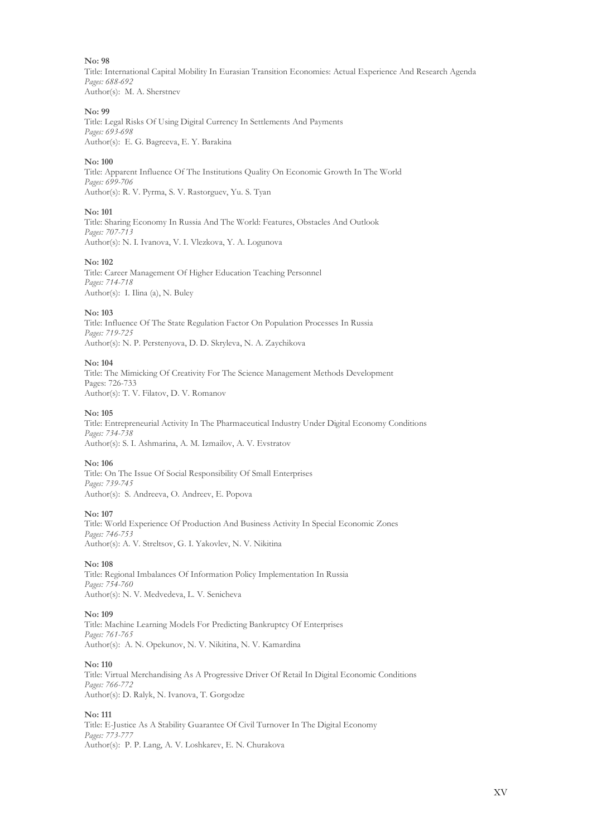Title: International Capital Mobility In Eurasian Transition Economies: Actual Experience And Research Agenda *Pages: 688-692* Author(s): M. A. Sherstnev

#### **No: 99**

Title: Legal Risks Of Using Digital Currency In Settlements And Payments *Pages: 693-698* Author(s): E. G. Bagreeva, E. Y. Barakina

#### **No: 100**

Title: Apparent Influence Of The Institutions Quality On Economic Growth In The World *Pages: 699-706* Author(s): R. V. Pyrma, S. V. Rastorguev, Yu. S. Tyan

#### **No: 101**

Title: Sharing Economy In Russia And The World: Features, Obstacles And Outlook *Pages: 707-713* Author(s): N. I. Ivanova, V. I. Vlezkova, Y. A. Logunova

#### **No: 102**

Title: Career Management Of Higher Education Teaching Personnel *Pages: 714-718* Author(s): I. Ilina (а), N. Buley

#### **No: 103**

Title: Influence Of The State Regulation Factor On Population Processes In Russia *Pages: 719-725* Author(s): N. P. Perstenyova, D. D. Skryleva, N. A. Zaychikova

## **No: 104**

Title: The Mimicking Of Creativity For The Science Management Methods Development Pages: 726-733 Author(s): T. V. Filatov, D. V. Romanov

#### **No: 105**

Title: Entrepreneurial Activity In The Pharmaceutical Industry Under Digital Economy Conditions *Pages: 734-738* Author(s): S. I. Ashmarina, A. M. Izmailov, A. V. Evstratov

## **No: 106**

Title: On The Issue Of Social Responsibility Of Small Enterprises *Pages: 739-745* Author(s): S. Andreeva, O. Andreev, E. Popova

#### **No: 107**

Title: World Experience Of Production And Business Activity In Special Economic Zones *Pages: 746-753* Author(s): A. V. Streltsov, G. I. Yakovlev, N. V. Nikitina

#### **No: 108**

Title: Regional Imbalances Of Information Policy Implementation In Russia *Pages: 754-760* Author(s): N. V. Medvedeva, L. V. Senicheva

#### **No: 109**

Title: Machine Learning Models For Predicting Bankruptcy Of Enterprises *Pages: 761-765* Author(s): A. N. Opekunov, N. V. Nikitina, N. V. Kamardina

## **No: 110**

Title: Virtual Merchandising As A Progressive Driver Of Retail In Digital Economic Conditions *Pages: 766-772* Author(s): D. Ralyk, N. Ivanova, T. Gorgodze

## **No: 111**

Title: E-Justice As A Stability Guarantee Of Civil Turnover In The Digital Economy *Pages: 773-777* Author(s): P. P. Lang, A. V. Loshkarev, E. N. Churakova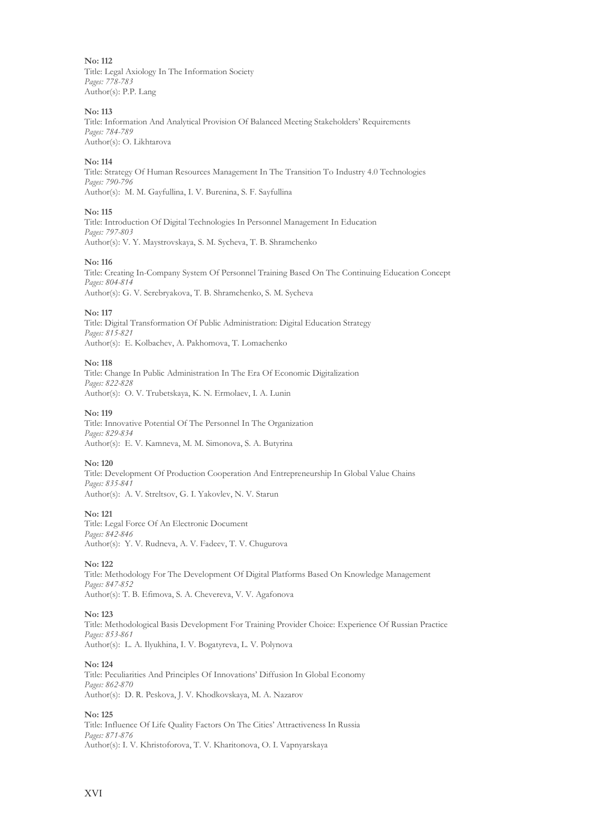**No: 112** Title: Legal Axiology In The Information Society *Pages: 778-783* Author(s): P.P. Lang

## **No: 113**

Title: Information And Analytical Provision Of Balanced Meeting Stakeholders' Requirements *Pages: 784-789* Author(s): O. Likhtarova

## **No: 114**

Title: Strategy Of Human Resources Management In The Transition To Industry 4.0 Technologies *Pages: 790-796* Author(s): M. M. Gayfullina, I. V. Burenina, S. F. Sayfullina

## **No: 115**

Title: Introduction Of Digital Technologies In Personnel Management In Education *Pages: 797-803* Author(s): V. Y. Maystrovskaya, S. M. Sycheva, T. B. Shramchenko

## **No: 116**

Title: Creating In-Company System Of Personnel Training Based On The Continuing Education Concept *Pages: 804-814* Author(s): G. V. Serebryakova, T. B. Shramchenko, S. M. Sycheva

## **No: 117**

Title: Digital Transformation Of Public Administration: Digital Education Strategy *Pages: 815-821* Author(s): E. Kolbachev, A. Pakhomova, T. Lomachenko

## **No: 118**

Title: Change In Public Administration In The Era Of Economic Digitalization *Pages: 822-828* Author(s): O. V. Trubetskaya, K. N. Ermolaev, I. A. Lunin

## **No: 119**

Title: Innovative Potential Of The Personnel In The Organization *Pages: 829-834* Author(s): E. V. Kamneva, M. M. Simonova, S. A. Butyrina

## **No: 120**

Title: Development Of Production Cooperation And Entrepreneurship In Global Value Chains *Pages: 835-841* Author(s): A. V. Streltsov, G. I. Yakovlev, N. V. Starun

## **No: 121**

Title: Legal Force Of An Electronic Document *Pages: 842-846* Author(s): Y. V. Rudneva, A. V. Fadeev, T. V. Chugurova

## **No: 122**

Title: Methodology For The Development Of Digital Platforms Based On Knowledge Management *Pages: 847-852* Author(s): T. B. Efimova, S. A. Chevereva, V. V. Agafonova

## **No: 123**

Title: Methodological Basis Development For Training Provider Choice: Experience Of Russian Practice *Pages: 853-861* Author(s): L. A. Ilyukhina, I. V. Bogatyreva, L. V. Polynova

## **No: 124**

Title: Peculiarities And Principles Of Innovations' Diffusion In Global Economy *Pages: 862-870* Author(s): D. R. Peskova, J. V. Khodkovskaya, M. A. Nazarov

## **No: 125**

Title: Influence Of Life Quality Factors On The Cities' Attractiveness In Russia *Pages: 871-876* Author(s): I. V. Khristoforova, T. V. Kharitonova, O. I. Vapnyarskaya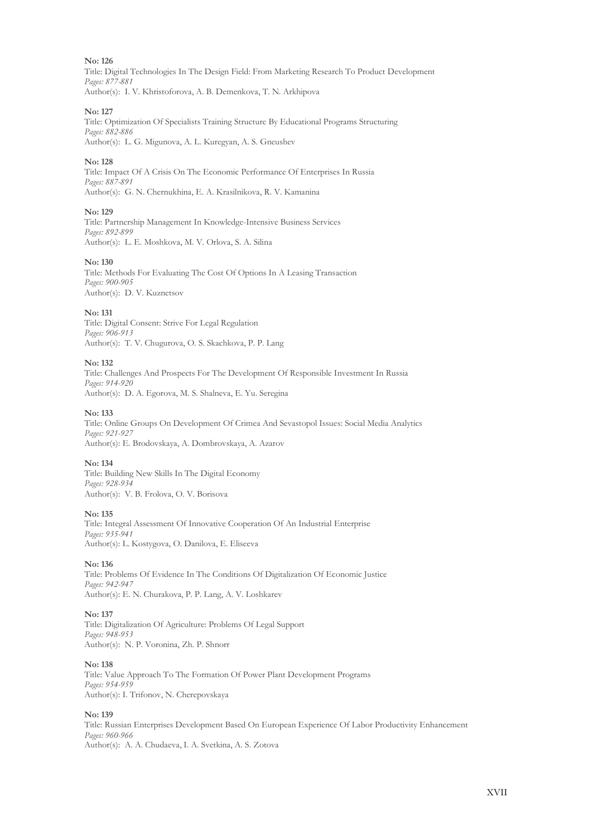Title: Digital Technologies In The Design Field: From Marketing Research To Product Development *Pages: 877-881* Author(s): I. V. Khristoforova, A. B. Demenkova, T. N. Arkhipova

## **No: 127**

Title: Optimization Of Specialists Training Structure By Educational Programs Structuring *Pages: 882-886* Author(s): L. G. Migunova, A. L. Kuregyan, A. S. Gneushev

## **No: 128**

Title: Impact Of A Crisis On The Economic Performance Of Enterprises In Russia *Pages: 887-891* Author(s): G. N. Chernukhina, E. А. Krasilnikova, R. V. Kamanina

## **No: 129**

Title: Partnership Management In Knowledge-Intensive Business Services *Pages: 892-899* Author(s): L. E. Moshkova, M. V. Orlova, S. A. Silina

## **No: 130**

Title: Methods For Evaluating The Cost Of Options In A Leasing Transaction *Pages: 900-905* Author(s): D. V. Kuznetsov

## **No: 131**

Title: Digital Consent: Strive For Legal Regulation *Pages: 906-913* Author(s): T. V. Chugurova, O. S. Skachkova, P. P. Lang

## **No: 132**

Title: Сhallenges And Prospects For The Development Of Responsible Investment In Russia *Pages: 914-920* Author(s): D. A. Egorova, M. S. Shalneva, E. Yu. Seregina

## **No: 133**

Title: Online Groups On Development Of Crimea And Sevastopol Issues: Social Media Analytics *Pages: 921-927* Author(s): E. Brodovskaya, A. Dombrovskaya, A. Azarov

## **No: 134**

Title: Building New Skills In The Digital Economy *Pages: 928-934* Author(s): V. B. Frolova, O. V. Borisova

## **No: 135**

Title: Integral Assessment Of Innovative Cooperation Of An Industrial Enterprise *Pages: 935-941* Author(s): L. Kostygova, O. Danilova, E. Eliseeva

## **No: 136**

Title: Problems Of Evidence In The Conditions Of Digitalization Of Economic Justice *Pages: 942-947* Author(s): E. N. Churakova, P. P. Lang, A. V. Loshkarev

## **No: 137**

Title: Digitalization Of Agriculture: Problems Of Legal Support *Pages: 948-953* Author(s): N. P. Voronina, Zh. P. Shnorr

## **No: 138**

Title: Value Approach To The Formation Of Power Plant Development Programs *Pages: 954-959* Author(s): I. Trifonov, N. Cherepovskaya

## **No: 139**

Title: Russian Enterprises Development Based On European Experience Of Labor Productivity Enhancement *Pages: 960-966* Author(s): A. A. Chudaeva, I. A. Svetkina, A. S. Zotova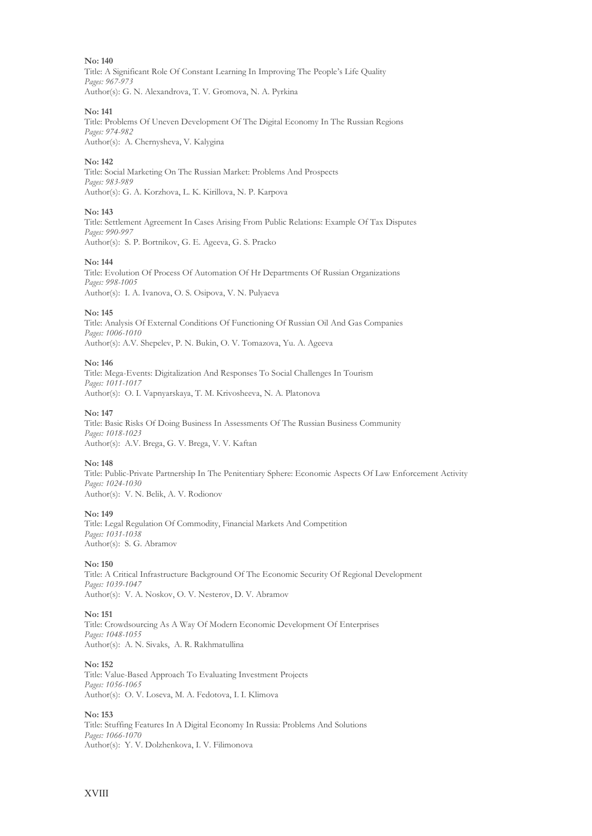Title: A Significant Role Of Constant Learning In Improving The People's Life Quality *Pages: 967-973* Author(s): G. N. Alexandrova, T. V. Gromova, N. A. Pyrkina

## **No: 141**

Title: Problems Of Uneven Development Of The Digital Economy In The Russian Regions *Pages: 974-982* Author(s): A. Chernysheva, V. Kalygina

## **No: 142**

Title: Social Marketing On The Russian Market: Problems And Prospects *Pages: 983-989* Author(s): G. A. Korzhova, L. K. Kirillova, N. P. Karpova

## **No: 143**

Title: Settlement Agreement In Cases Arising From Public Relations: Example Of Tax Disputes *Pages: 990-997* Author(s): S. P. Bortnikov, G. E. Ageeva, G. S. Pracko

## **No: 144**

Title: Evolution Of Process Of Automation Of Hr Departments Of Russian Organizations *Pages: 998-1005* Author(s): I. A. Ivanova, O. S. Osipova, V. N. Pulyaeva

## **No: 145**

Title: Analysis Of External Conditions Of Functioning Of Russian Oil And Gas Companies *Pages: 1006-1010* Author(s): A.V. Shepelev, P. N. Bukin, O. V. Tomazova, Yu. A. Ageeva

## **No: 146**

Title: Mega-Events: Digitalization And Responses To Social Challenges In Tourism *Pages: 1011-1017* Author(s): O. I. Vapnyarskaya, T. M. Krivosheeva, N. A. Platonova

## **No: 147**

Title: Basic Risks Of Doing Business In Assessments Of The Russian Business Community *Pages: 1018-1023* Author(s): A.V. Brega, G. V. Brega, V. V. Kaftan

## **No: 148**

Title: Public-Private Partnership In The Penitentiary Sphere: Economic Aspects Of Law Enforcement Activity *Pages: 1024-1030* Author(s): V. N. Belik, A. V. Rodionov

## **No: 149**

Title: Legal Regulation Of Commodity, Financial Markets And Competition *Pages: 1031-1038* Author(s): S. G. Abramov

## **No: 150**

Title: A Critical Infrastructure Background Of The Economic Security Of Regional Development *Pages: 1039-1047* Author(s): V. A. Noskov, O. V. Nesterov, D. V. Abramov

## **No: 151**

Title: Crowdsourcing As A Way Of Modern Economic Development Of Enterprises *Pages: 1048-1055* Author(s): А. N. Sivaks, A. R. Rakhmatullina

## **No: 152**

Title: Value-Based Approach To Evaluating Investment Projects *Pages: 1056-1065* Author(s): O. V. Loseva, M. A. Fedotova, I. I. Klimova

## **No: 153**

Title: Stuffing Features In A Digital Economy In Russia: Problems And Solutions *Pages: 1066-1070* Author(s): Y. V. Dolzhenkova, I. V. Filimonova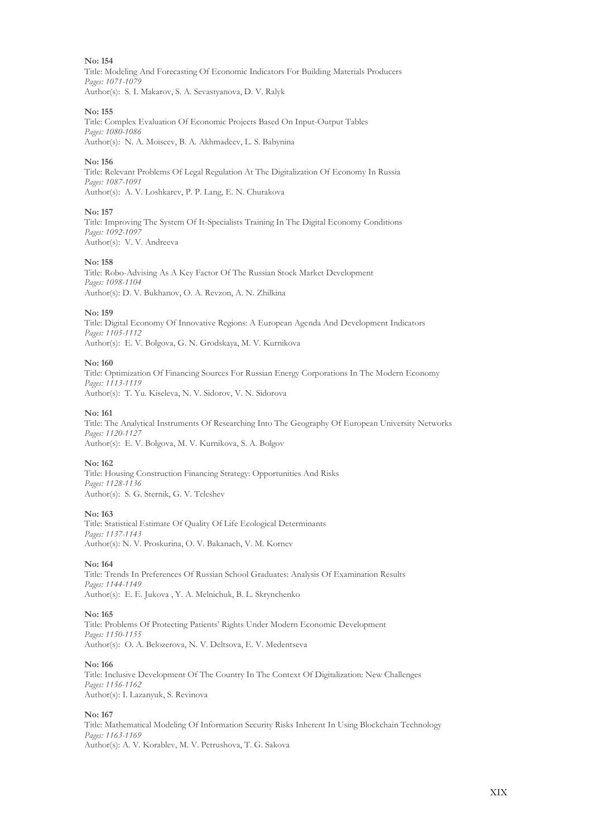Title: Modeling And Forecasting Of Economic Indicators For Building Materials Producers *Pages: 1071-1079* Author(s): S. I. Makarov, S. A. Sevastyanova, D. V. Ralyk

## **No: 155**

Title: Complex Evaluation Of Economic Projects Based On Input-Output Tables *Pages: 1080-1086* Author(s): N. A. Moiseev, B. A. Akhmadeev, L. S. Babynina

## **No: 156**

Title: Relevant Problems Of Legal Regulation At The Digitalization Of Economy In Russia *Pages: 1087-1091* Author(s): A. V. Loshkarev, P. P. Lang, E. N. Churakova

## **No: 157**

Title: Improving The System Of It-Specialists Training In The Digital Economy Conditions *Pages: 1092-1097* Author(s): V. V. Andreeva

#### **No: 158**

Title: Robo-Advising As A Key Factor Of The Russian Stock Market Development *Pages: 1098-1104* Author(s): D. V. Bukhanov, O. A. Revzon, A. N. Zhilkina

## **No: 159**

Title: Digital Economy Of Innovative Regions: A European Agenda And Development Indicators *Pages: 1105-1112* Author(s): E. V. Bolgova, G. N. Grodskaya, M. V. Kurnikova

## **No: 160**

Title: Optimization Of Financing Sources For Russian Energy Corporations In The Modern Economy *Pages: 1113-1119* Author(s): T. Yu. Kiseleva, N. V. Sidorov, V. N. Sidorova

#### **No: 161**

Title: The Analytical Instruments Of Researching Into The Geography Of European University Networks *Pages: 1120-1127* Author(s): E. V. Bolgova, M. V. Kurnikova, S. A. Bolgov

## **No: 162**

Title: Housing Construction Financing Strategy: Opportunities And Risks *Pages: 1128-1136* Author(s): S. G. Sternik, G. V. Teleshev

## **No: 163**

Title: Statistical Estimate Of Quality Of Life Ecological Determinants *Pages: 1137-1143* Author(s): N. V. Proskurina, O. V. Bakanach, V. M. Kornev

## **No: 164**

Title: Trends In Preferences Of Russian School Graduates: Analysis Of Examination Results *Pages: 1144-1149* Author(s): E. E. Jukova , Y. A. Melnichuk, B. L. Skrynchenko

## **No: 165**

Title: Problems Of Protecting Patients' Rights Under Modern Economic Development *Pages: 1150-1155* Author(s): O. A. Belozerova, N. V. Deltsova, E. V. Medentseva

## **No: 166**

Title: Inclusive Development Of The Country In The Context Of Digitalization: New Challenges *Pages: 1156-1162* Author(s): I. Lazanyuk, S. Revinova

## **No: 167**

Title: Mathematical Modeling Of Information Security Risks Inherent In Using Blockchain Technology *Pages: 1163-1169* Author(s): A. V. Korablev, M. V. Petrushova, T. G. Sakova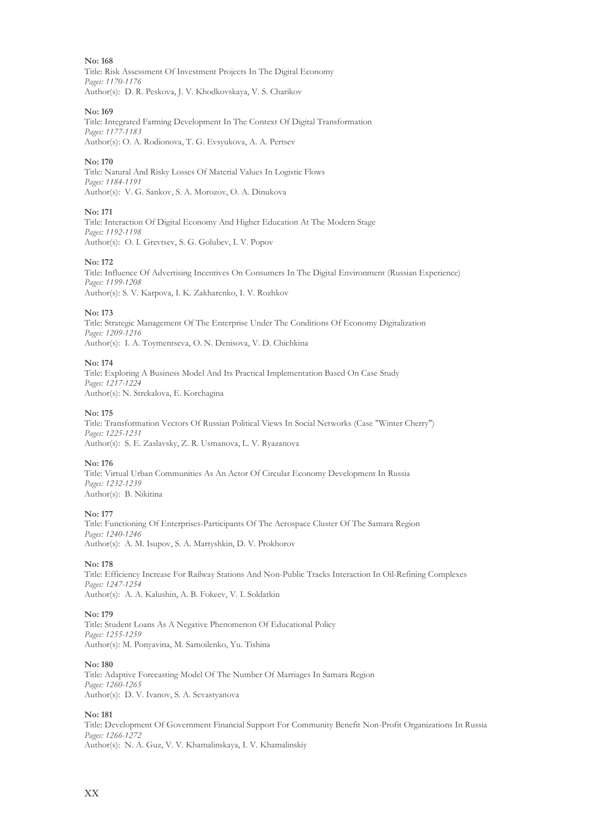Title: Risk Assessment Of Investment Projects In The Digital Economy *Pages: 1170-1176* Author(s): D. R. Peskova, J. V. Khodkovskaya, V. S. Charikov

## **No: 169**

Title: Integrated Farming Development In The Context Of Digital Transformation *Pages: 1177-1183* Author(s): O. A. Rodionova, T. G. Evsyukova, A. A. Pertsev

## **No: 170**

Title: Natural And Risky Losses Of Material Values In Logistic Flows *Pages: 1184-1191* Author(s): V. G. Sankov, S. A. Morozov, O. A. Dinukova

## **No: 171**

Title: Interaction Of Digital Economy And Higher Education At The Modern Stage *Pages: 1192-1198* Author(s): O. I. Grevtsev, S. G. Golubev, I. V. Popov

## **No: 172**

Title: Influence Of Advertising Incentives On Consumers In The Digital Environment (Russian Experience) *Pages: 1199-1208* Author(s): S. V. Karpova, I. K. Zakharenko, I. V. Rozhkov

## **No: 173**

Title: Strategic Management Of The Enterprise Under The Conditions Of Economy Digitalization *Pages: 1209-1216* Author(s): I. A. Toymentseva, O. N. Denisova, V. D. Chichkina

## **No: 174**

Title: Exploring A Business Model And Its Practical Implementation Based On Case Study *Pages: 1217-1224* Author(s): N. Strekalova, E. Korchagina

## **No: 175**

Title: Transformation Vectors Of Russian Political Views In Social Networks (Case "Winter Cherry") *Pages: 1225-1231* Author(s): S. E. Zaslavsky, Z. R. Usmanova, L. V. Ryazanova

## **No: 176**

Title: Virtual Urban Communities As An Actor Of Circular Economy Development In Russia *Pages: 1232-1239* Author(s): B. Nikitina

## **No: 177**

Title: Functioning Of Enterprises-Participants Of The Aerospace Cluster Of The Samara Region *Pages: 1240-1246* Author(s): A. M. Isupov, S. A. Martyshkin, D. V. Prokhorov

## **No: 178**

Title: Efficiency Increase For Railway Stations And Non-Public Tracks Interaction In Oil-Refining Complexes *Pages: 1247-1254* Author(s): A. A. Kalushin, A. B. Fokeev, V. I. Soldatkin

## **No: 179**

Title: Student Loans As A Negative Phenomenon Of Educational Policy *Pages: 1255-1259* Author(s): M. Ponyavina, M. Samoilenko, Yu. Tishina

## **No: 180**

Title: Adaptive Forecasting Model Of The Number Of Marriages In Samara Region *Pages: 1260-1265* Author(s): D. V. Ivanov, S. A. Sevastyanova

## **No: 181**

Title: Development Of Government Financial Support For Community Benefit Non-Profit Organizations In Russia *Pages: 1266-1272* Author(s): N. A. Guz, V. V. Khamalinskaya, I. V. Khamalinskiy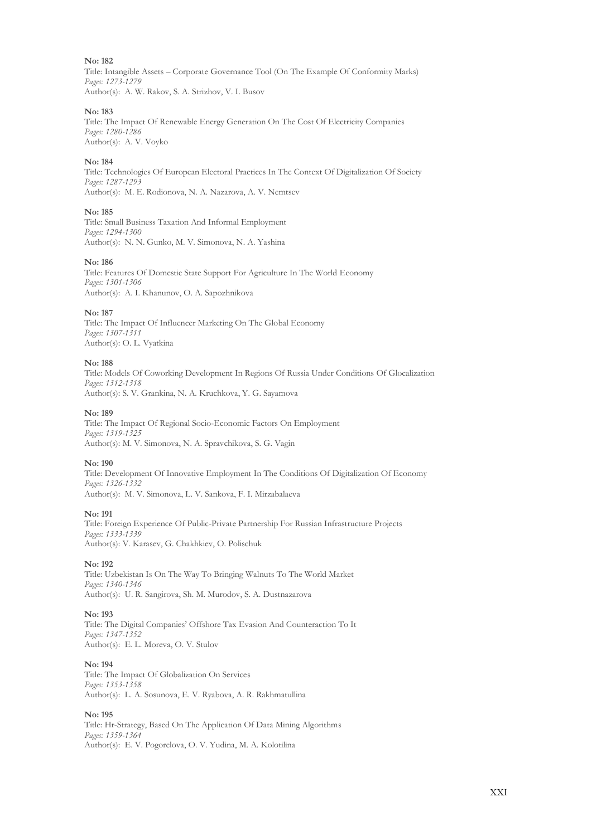Title: Intangible Assets – Corporate Governance Tool (On The Example Of Conformity Marks) *Pages: 1273-1279* Author(s): A. W. Rakov, S. A. Strizhov, V. I. Busov

#### **No: 183**

Title: The Impact Of Renewable Energy Generation On The Cost Of Electricity Companies *Pages: 1280-1286* Author(s): A. V. Voyko

#### **No: 184**

Title: Technologies Of European Electoral Practices In The Context Of Digitalization Of Society *Pages: 1287-1293* Author(s): M. E. Rodionova, N. A. Nazarova, A. V. Nemtsev

#### **No: 185**

Title: Small Business Taxation And Informal Employment *Pages: 1294-1300* Author(s): N. N. Gunko, M. V. Simonova, N. A. Yashina

#### **No: 186**

Title: Features Of Domestic State Support For Agriculture In The World Economy *Pages: 1301-1306* Author(s): A. I. Khanunov, O. A. Sapozhnikova

#### **No: 187**

Title: The Impact Of Influencer Marketing On The Global Economy *Pages: 1307-1311* Author(s): O. L. Vyatkina

## **No: 188**

Title: Models Of Coworking Development In Regions Of Russia Under Conditions Of Glocalization *Pages: 1312-1318* Author(s): S. V. Grankina, N. A. Kruchkova, Y. G. Sayamova

#### **No: 189**

Title: The Impact Of Regional Socio-Economic Factors On Employment *Pages: 1319-1325* Author(s): M. V. Simonova, N. A. Spravchikova, S. G. Vagin

## **No: 190**

Title: Development Of Innovative Employment In The Conditions Of Digitalization Of Economy *Pages: 1326-1332* Author(s): M. V. Simonova, L. V. Sankova, F. I. Mirzabalaeva

#### **No: 191**

Title: Foreign Experience Of Public-Private Partnership For Russian Infrastructure Projects *Pages: 1333-1339* Author(s): V. Karasev, G. Chakhkiev, O. Polischuk

## **No: 192**

Title: Uzbekistan Is On The Way To Bringing Walnuts To The World Market *Pages: 1340-1346* Author(s): U. R. Sangirova, Sh. M. Murodov, S. A. Dustnazarova

#### **No: 193**

Title: The Digital Companies' Offshore Tax Evasion And Counteraction To It *Pages: 1347-1352* Author(s): E. L. Moreva, O. V. Stulov

## **No: 194**

Title: The Impact Of Globalization On Services *Pages: 1353-1358* Author(s): L. A. Sosunova, E. V. Ryabova, A. R. Rakhmatullina

## **No: 195**

Title: Hr-Strategy, Based On The Application Of Data Mining Algorithms *Pages: 1359-1364* Author(s): E. V. Pogorelova, O. V. Yudina, M. A. Kolotilina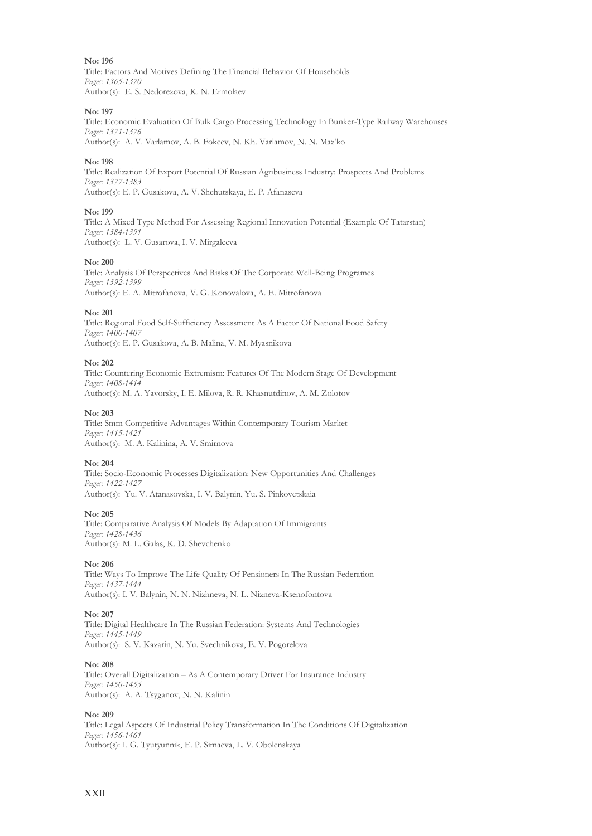Title: Factors And Motives Defining The Financial Behavior Of Households *Pages: 1365-1370* Author(s): E. S. Nedorezova, K. N. Ermolaev

## **No: 197**

Title: Economic Evaluation Of Bulk Cargo Processing Technology In Bunker-Type Railway Warehouses *Pages: 1371-1376* Author(s): A. V. Varlamov, A. B. Fokeev, N. Kh. Varlamov, N. N. Maz'ko

## **No: 198**

Title: Realization Of Export Potential Of Russian Agribusiness Industry: Prospects And Problems *Pages: 1377-1383* Author(s): E. P. Gusakova, A. V. Shchutskaya, E. P. Afanaseva

## **No: 199**

Title: A Mixed Type Method For Assessing Regional Innovation Potential (Example Of Tatarstan) *Pages: 1384-1391* Author(s): L. V. Gusarova, I. V. Mirgaleeva

## **No: 200**

Title: Analysis Of Perspectives And Risks Of The Corporate Well-Being Programes *Pages: 1392-1399* Author(s): E. A. Mitrofanova, V. G. Konovalova, A. E. Mitrofanova

## **No: 201**

Title: Regional Food Self-Sufficiency Assessment As A Factor Of National Food Safety *Pages: 1400-1407* Author(s): Е. P. Gusakova, А. B. Malina, V. М. Myasnikova

## **No: 202**

Title: Countering Economic Extremism: Features Of The Modern Stage Of Development *Pages: 1408-1414* Author(s): M. A. Yavorsky, I. E. Milova, R. R. Khasnutdinov, A. M. Zolotov

## **No: 203**

Title: Smm Competitive Advantages Within Contemporary Tourism Market *Pages: 1415-1421* Author(s): M. A. Kalinina, A. V. Smirnova

## **No: 204**

Title: Socio-Economic Processes Digitalization: New Opportunities And Challenges *Pages: 1422-1427* Author(s): Yu. V. Atanasovska, I. V. Balynin, Yu. S. Pinkovetskaia

## **No: 205**

Title: Comparative Analysis Of Models By Adaptation Of Immigrants *Pages: 1428-1436* Author(s): M. L. Galas, K. D. Shevchenko

## **No: 206**

Title: Ways To Improve The Life Quality Of Pensioners In The Russian Federation *Pages: 1437-1444* Author(s): I. V. Balynin, N. N. Nizhneva, N. L. Nizneva-Ksenofontova

## **No: 207**

Title: Digital Healthcare In The Russian Federation: Systems And Technologies *Pages: 1445-1449* Author(s): S. V. Kazarin, N. Yu. Svechnikova, E. V. Pogorelova

## **No: 208**

Title: Overall Digitalization – As A Contemporary Driver For Insurance Industry *Pages: 1450-1455* Author(s): A. A. Tsyganov, N. N. Kalinin

## **No: 209**

Title: Legal Aspects Of Industrial Policy Transformation In The Conditions Of Digitalization *Pages: 1456-1461* Author(s): I. G. Tyutyunnik, E. P. Simaeva, L. V. Obolenskaya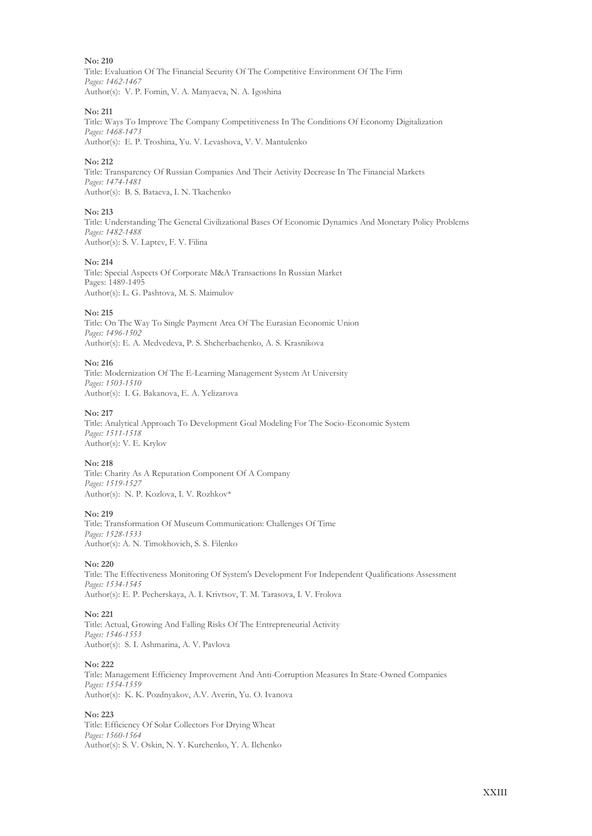Title: Evaluation Of The Financial Security Of The Competitive Environment Of The Firm *Pages: 1462-1467* Author(s): V. P. Fomin, V. A. Manyaeva, N. A. Igoshina

## **No: 211**

Title: Ways To Improve The Company Competitiveness In The Conditions Of Economy Digitalization *Pages: 1468-1473* Author(s): E. P. Troshina, Yu. V. Levashova, V. V. Mantulenko

## **No: 212**

Title: Transparency Of Russian Companies And Their Activity Decrease In The Financial Markets *Pages: 1474-1481* Author(s): B. S. Bataeva, I. N. Tkachenko

## **No: 213**

Title: Understanding The General Civilizational Bases Of Economic Dynamics And Monetary Policy Problems *Pages: 1482-1488* Author(s): S. V. Laptev, F. V. Filina

## **No: 214**

Title: Special Aspects Of Corporate M&A Transactions In Russian Market Pages: 1489-1495 Author(s): L. G. Pashtova, M. S. Maimulov

## **No: 215**

Title: On The Way To Single Payment Area Of The Eurasian Economic Union *Pages: 1496-1502* Author(s): E. A. Medvedeva, P. S. Shcherbachenko, A. S. Krasnikova

## **No: 216**

Title: Modernization Of The E-Learning Management System At University *Pages: 1503-1510* Author(s): I. G. Bakanova, E. А. Yelizarova

## **No: 217**

Title: Analytical Approach To Development Goal Modeling For The Socio-Economic System *Pages: 1511-1518* Author(s): V. E. Krylov

## **No: 218**

Title: Charity As A Reputation Component Of A Company *Pages: 1519-1527* Author(s): N. P. Kozlova, I. V. Rozhkov\*

## **No: 219**

Title: Transformation Of Museum Communication: Challenges Of Time *Pages: 1528-1533* Author(s): A. N. Timokhovich, S. S. Filenko

## **No: 220**

Title: The Effectiveness Monitoring Of System's Development For Independent Qualifications Assessment *Pages: 1534-1545* Author(s): E. P. Pecherskaya, A. I. Krivtsov, T. M. Tarasova, I. V. Frolova

## **No: 221**

Title: Actual, Growing And Falling Risks Of The Entrepreneurial Activity *Pages: 1546-1553* Author(s): S. I. Ashmarina, A. V. Pavlova

## **No: 222**

Title: Management Efficiency Improvement And Anti-Corruption Measures In State-Owned Companies *Pages: 1554-1559* Author(s): K. K. Pozdnyakov, A.V. Averin, Yu. O. Ivanova

## **No: 223**

Title: Efficiency Of Solar Collectors For Drying Wheat *Pages: 1560-1564* Author(s): S. V. Oskin, N. Y. Kurchenko, Y. A. Ilchenko